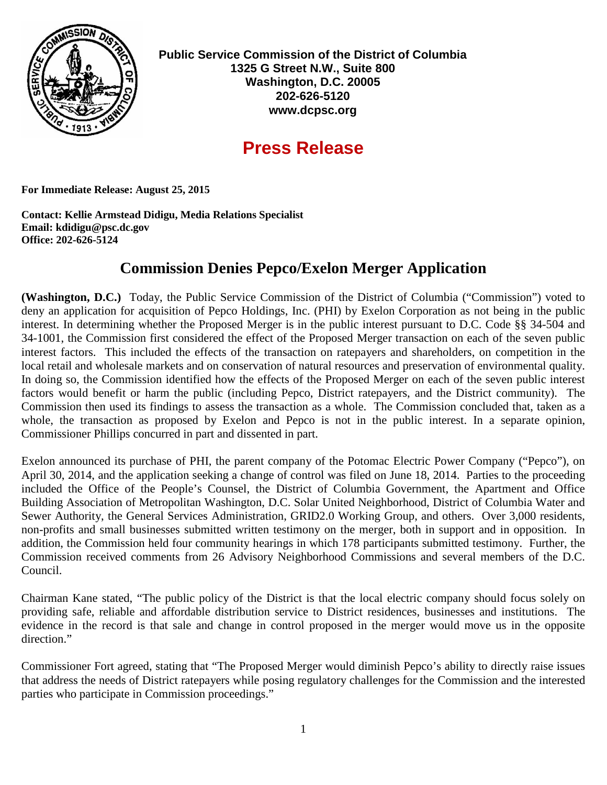

**Public Service Commission of the District of Columbia 1325 G Street N.W., Suite 800 Washington, D.C. 20005 202-626-5120 www.dcpsc.org**

## **Press Release**

**For Immediate Release: August 25, 2015**

**Contact: Kellie Armstead Didigu, Media Relations Specialist Email: kdidigu@psc.dc.gov Office: 202-626-5124**

## **Commission Denies Pepco/Exelon Merger Application**

**(Washington, D.C.)** Today, the Public Service Commission of the District of Columbia ("Commission") voted to deny an application for acquisition of Pepco Holdings, Inc. (PHI) by Exelon Corporation as not being in the public interest. In determining whether the Proposed Merger is in the public interest pursuant to D.C. Code §§ 34-504 and 34-1001, the Commission first considered the effect of the Proposed Merger transaction on each of the seven public interest factors. This included the effects of the transaction on ratepayers and shareholders, on competition in the local retail and wholesale markets and on conservation of natural resources and preservation of environmental quality. In doing so, the Commission identified how the effects of the Proposed Merger on each of the seven public interest factors would benefit or harm the public (including Pepco, District ratepayers, and the District community). The Commission then used its findings to assess the transaction as a whole. The Commission concluded that, taken as a whole, the transaction as proposed by Exelon and Pepco is not in the public interest. In a separate opinion, Commissioner Phillips concurred in part and dissented in part.

Exelon announced its purchase of PHI, the parent company of the Potomac Electric Power Company ("Pepco"), on April 30, 2014, and the application seeking a change of control was filed on June 18, 2014. Parties to the proceeding included the Office of the People's Counsel, the District of Columbia Government, the Apartment and Office Building Association of Metropolitan Washington, D.C. Solar United Neighborhood, District of Columbia Water and Sewer Authority, the General Services Administration, GRID2.0 Working Group, and others. Over 3,000 residents, non-profits and small businesses submitted written testimony on the merger, both in support and in opposition. In addition, the Commission held four community hearings in which 178 participants submitted testimony. Further, the Commission received comments from 26 Advisory Neighborhood Commissions and several members of the D.C. Council.

Chairman Kane stated, "The public policy of the District is that the local electric company should focus solely on providing safe, reliable and affordable distribution service to District residences, businesses and institutions. The evidence in the record is that sale and change in control proposed in the merger would move us in the opposite direction."

Commissioner Fort agreed, stating that "The Proposed Merger would diminish Pepco's ability to directly raise issues that address the needs of District ratepayers while posing regulatory challenges for the Commission and the interested parties who participate in Commission proceedings."